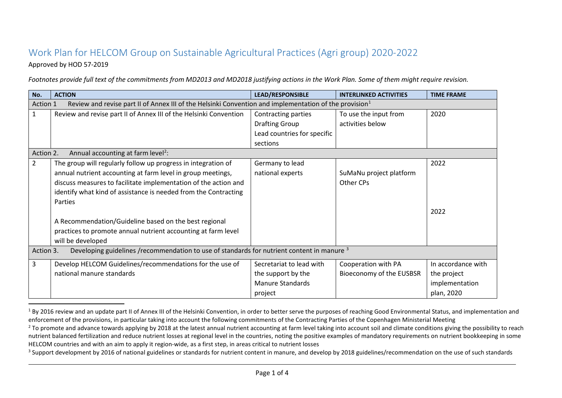## <span id="page-0-2"></span><span id="page-0-1"></span><span id="page-0-0"></span>Work Plan for HELCOM Group on Sustainable Agricultural Practices (Agri group) 2020-2022

## Approved by HOD 57-2019

*Footnotes provide full text of the commitments from MD2013 and MD2018 justifying actions in the Work Plan. Some of them might require revision.* 

| No.                                                                                                                            | <b>ACTION</b>                                                     | <b>LEAD/RESPONSIBLE</b>     | <b>INTERLINKED ACTIVITIES</b> | <b>TIME FRAME</b>  |  |  |
|--------------------------------------------------------------------------------------------------------------------------------|-------------------------------------------------------------------|-----------------------------|-------------------------------|--------------------|--|--|
| Review and revise part II of Annex III of the Helsinki Convention and implementation of the provision <sup>1</sup><br>Action 1 |                                                                   |                             |                               |                    |  |  |
| $\mathbf{1}$                                                                                                                   | Review and revise part II of Annex III of the Helsinki Convention | Contracting parties         | To use the input from         | 2020               |  |  |
|                                                                                                                                |                                                                   | <b>Drafting Group</b>       | activities below              |                    |  |  |
|                                                                                                                                |                                                                   | Lead countries for specific |                               |                    |  |  |
|                                                                                                                                |                                                                   | sections                    |                               |                    |  |  |
|                                                                                                                                | Annual accounting at farm level <sup>2</sup> :<br>Action 2.       |                             |                               |                    |  |  |
| $\overline{2}$                                                                                                                 | The group will regularly follow up progress in integration of     | Germany to lead             |                               | 2022               |  |  |
|                                                                                                                                | annual nutrient accounting at farm level in group meetings,       | national experts            | SuMaNu project platform       |                    |  |  |
|                                                                                                                                | discuss measures to facilitate implementation of the action and   |                             | Other CPs                     |                    |  |  |
|                                                                                                                                | identify what kind of assistance is needed from the Contracting   |                             |                               |                    |  |  |
|                                                                                                                                | Parties                                                           |                             |                               |                    |  |  |
|                                                                                                                                |                                                                   |                             |                               | 2022               |  |  |
|                                                                                                                                | A Recommendation/Guideline based on the best regional             |                             |                               |                    |  |  |
|                                                                                                                                | practices to promote annual nutrient accounting at farm level     |                             |                               |                    |  |  |
|                                                                                                                                | will be developed                                                 |                             |                               |                    |  |  |
| Developing guidelines /recommendation to use of standards for nutrient content in manure 3<br>Action 3.                        |                                                                   |                             |                               |                    |  |  |
| 3                                                                                                                              | Develop HELCOM Guidelines/recommendations for the use of          | Secretariat to lead with    | Cooperation with PA           | In accordance with |  |  |
|                                                                                                                                | national manure standards                                         | the support by the          | Bioeconomy of the EUSBSR      | the project        |  |  |
|                                                                                                                                |                                                                   | <b>Manure Standards</b>     |                               | implementation     |  |  |
|                                                                                                                                |                                                                   | project                     |                               | plan, 2020         |  |  |

 $1$  By 2016 review and an update part II of Annex III of the Helsinki Convention, in order to better serve the purposes of reaching Good Environmental Status, and implementation and enforcement of the provisions, in particular taking into account the following commitments of the Contracting Parties of the Copenhagen Ministerial Meeting

<sup>3</sup> Support development by 2016 of national guidelines or standards for nutrient content in manure, and develop by 2018 guidelines/recommendation on the use of such standards

<sup>&</sup>lt;sup>2</sup> To promote and advance towards applying by 2018 at the latest annual nutrient accounting at farm level taking into account soil and climate conditions giving the possibility to reach nutrient balanced fertilization and reduce nutrient losses at regional level in the countries, noting the positive examples of mandatory requirements on nutrient bookkeeping in some HELCOM countries and with an aim to apply it region-wide, as a first step, in areas critical to nutrient losses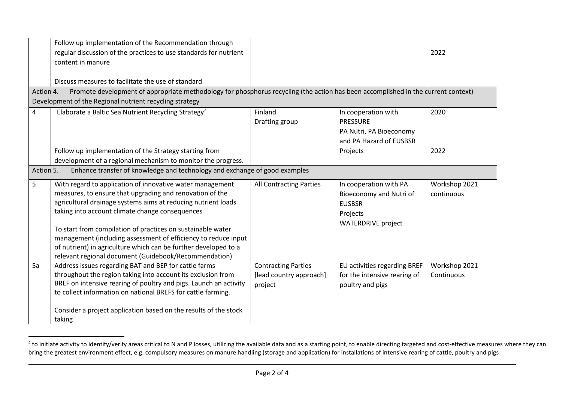<span id="page-1-0"></span>

|                                                                                                                                                | Follow up implementation of the Recommendation through<br>regular discussion of the practices to use standards for nutrient<br>content in manure                                                                                                                                                         |                                                                  |                                                                                                             | 2022                        |  |
|------------------------------------------------------------------------------------------------------------------------------------------------|----------------------------------------------------------------------------------------------------------------------------------------------------------------------------------------------------------------------------------------------------------------------------------------------------------|------------------------------------------------------------------|-------------------------------------------------------------------------------------------------------------|-----------------------------|--|
|                                                                                                                                                | Discuss measures to facilitate the use of standard                                                                                                                                                                                                                                                       |                                                                  |                                                                                                             |                             |  |
| Promote development of appropriate methodology for phosphorus recycling (the action has been accomplished in the current context)<br>Action 4. |                                                                                                                                                                                                                                                                                                          |                                                                  |                                                                                                             |                             |  |
|                                                                                                                                                | Development of the Regional nutrient recycling strategy                                                                                                                                                                                                                                                  |                                                                  |                                                                                                             |                             |  |
| 4                                                                                                                                              | Elaborate a Baltic Sea Nutrient Recycling Strategy <sup>4</sup>                                                                                                                                                                                                                                          | Finland<br>Drafting group                                        | In cooperation with<br><b>PRESSURE</b><br>PA Nutri, PA Bioeconomy<br>and PA Hazard of EUSBSR                | 2020                        |  |
|                                                                                                                                                | Follow up implementation of the Strategy starting from<br>development of a regional mechanism to monitor the progress.                                                                                                                                                                                   |                                                                  | Projects                                                                                                    | 2022                        |  |
| Enhance transfer of knowledge and technology and exchange of good examples<br>Action 5.                                                        |                                                                                                                                                                                                                                                                                                          |                                                                  |                                                                                                             |                             |  |
| 5                                                                                                                                              | With regard to application of innovative water management<br>measures, to ensure that upgrading and renovation of the<br>agricultural drainage systems aims at reducing nutrient loads<br>taking into account climate change consequences<br>To start from compilation of practices on sustainable water | <b>All Contracting Parties</b>                                   | In cooperation with PA<br>Bioeconomy and Nutri of<br><b>EUSBSR</b><br>Projects<br><b>WATERDRIVE project</b> | Workshop 2021<br>continuous |  |
|                                                                                                                                                | management (including assessment of efficiency to reduce input<br>of nutrient) in agriculture which can be further developed to a<br>relevant regional document (Guidebook/Recommendation)                                                                                                               |                                                                  |                                                                                                             |                             |  |
| 5a                                                                                                                                             | Address issues regarding BAT and BEP for cattle farms<br>throughout the region taking into account its exclusion from<br>BREF on intensive rearing of poultry and pigs. Launch an activity<br>to collect information on national BREFS for cattle farming.                                               | <b>Contracting Parties</b><br>[lead country approach]<br>project | EU activities regarding BREF<br>for the intensive rearing of<br>poultry and pigs                            | Workshop 2021<br>Continuous |  |
|                                                                                                                                                | Consider a project application based on the results of the stock<br>taking                                                                                                                                                                                                                               |                                                                  |                                                                                                             |                             |  |

<sup>&</sup>lt;sup>4</sup> to initiate activity to identify/verify areas critical to N and P losses, utilizing the available data and as a starting point, to enable directing targeted and cost-effective measures where they can bring the greatest environment effect, e.g. compulsory measures on manure handling (storage and application) for installations of intensive rearing of cattle, poultry and pigs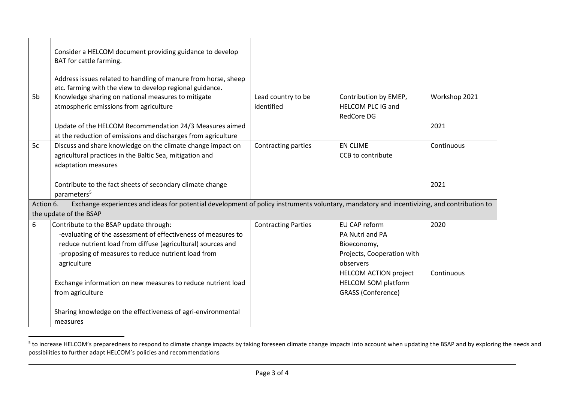<span id="page-2-0"></span>

|                                                                                                                                                                                   | Consider a HELCOM document providing guidance to develop<br>BAT for cattle farming.                                                                                                                                                                                                                                               |                                  |                                                                                                                                                                                |                    |
|-----------------------------------------------------------------------------------------------------------------------------------------------------------------------------------|-----------------------------------------------------------------------------------------------------------------------------------------------------------------------------------------------------------------------------------------------------------------------------------------------------------------------------------|----------------------------------|--------------------------------------------------------------------------------------------------------------------------------------------------------------------------------|--------------------|
|                                                                                                                                                                                   | Address issues related to handling of manure from horse, sheep<br>etc. farming with the view to develop regional guidance.                                                                                                                                                                                                        |                                  |                                                                                                                                                                                |                    |
| 5b                                                                                                                                                                                | Knowledge sharing on national measures to mitigate<br>atmospheric emissions from agriculture                                                                                                                                                                                                                                      | Lead country to be<br>identified | Contribution by EMEP,<br><b>HELCOM PLC IG and</b><br><b>RedCore DG</b>                                                                                                         | Workshop 2021      |
|                                                                                                                                                                                   | Update of the HELCOM Recommendation 24/3 Measures aimed<br>at the reduction of emissions and discharges from agriculture                                                                                                                                                                                                          |                                  |                                                                                                                                                                                | 2021               |
| 5c                                                                                                                                                                                | Discuss and share knowledge on the climate change impact on<br>agricultural practices in the Baltic Sea, mitigation and<br>adaptation measures                                                                                                                                                                                    | Contracting parties              | <b>EN CLIME</b><br>CCB to contribute                                                                                                                                           | Continuous         |
|                                                                                                                                                                                   | Contribute to the fact sheets of secondary climate change<br>parameters <sup>5</sup>                                                                                                                                                                                                                                              |                                  |                                                                                                                                                                                | 2021               |
| Exchange experiences and ideas for potential development of policy instruments voluntary, mandatory and incentivizing, and contribution to<br>Action 6.<br>the update of the BSAP |                                                                                                                                                                                                                                                                                                                                   |                                  |                                                                                                                                                                                |                    |
| 6                                                                                                                                                                                 | Contribute to the BSAP update through:<br>-evaluating of the assessment of effectiveness of measures to<br>reduce nutrient load from diffuse (agricultural) sources and<br>-proposing of measures to reduce nutrient load from<br>agriculture<br>Exchange information on new measures to reduce nutrient load<br>from agriculture | <b>Contracting Parties</b>       | EU CAP reform<br>PA Nutri and PA<br>Bioeconomy,<br>Projects, Cooperation with<br>observers<br><b>HELCOM ACTION project</b><br>HELCOM SOM platform<br><b>GRASS (Conference)</b> | 2020<br>Continuous |
|                                                                                                                                                                                   | Sharing knowledge on the effectiveness of agri-environmental<br>measures                                                                                                                                                                                                                                                          |                                  |                                                                                                                                                                                |                    |

<sup>&</sup>lt;sup>5</sup> to increase HELCOM's preparedness to respond to climate change impacts by taking foreseen climate change impacts into account when updating the BSAP and by exploring the needs and possibilities to further adapt HELCOM's policies and recommendations